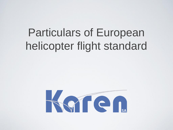#### Particulars of European helicopter flight standard

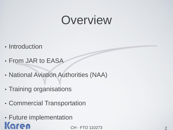#### Overview

- Introduction
- From JAR to EASA
- National Aviation Authorities (NAA)
- Training organisations
- Commercial Transportation
- Future implementationKaren.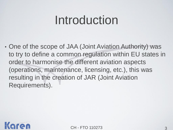#### Introduction

• One of the scope of JAA (Joint Aviation Authority) was to try to define a common regulation within EU states in order to harmonise the different aviation aspects (operations, maintenance, licensing, etc.), this was resulting in the creation of JAR (Joint Aviation Requirements).

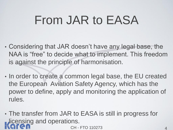### From JAR to EASA

- Considering that JAR doesn't have any legal base, the NAA is "free" to decide what to implement. This freedom is against the principle of harmonisation.
- In order to create a common legal base, the EU created the European Aviation Safety Agency, which has the power to define, apply and monitoring the application of rules.
- CH FTO 110273 • The transfer from JAR to EASA is still in progress for **Licensing and operations.**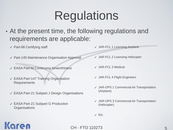### Regulations

- At the present time, the following regulations and requirements are applicable:
	- ✓ Part-66 Certifying staff
	- ✓ Part-145 Maintenance Organisation Approval
	- ✓ EASA Part-M Continuing Airworthiness
	- ✓ EASA Part-147 Training Organisation **Requirements**
	- ✓ EASA Part-21 Subpart J Design Organisations
	- ✓ EASA Part-21 Subpart G Production **Organisations**

Naren

- ✓ JAR-FCL 1 Licensing Airplane
- ✓ JAR-FCL 2 Licensing Helicopter
- ✓ JAR-FCL 3 Medical
- ✓ JAR-FCL 4 Flight Engineers
- ✓ JAR-OPS 1 Commercial Air Transportation (Airplane)
- ✓ JAR-OPS 3 Commercial Air Transportation (Helicopter)
- ✓ Etc.

CH - FTO 110273 5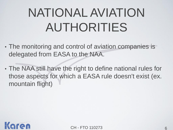# NATIONAL AVIATION AUTHORITIES

- The monitoring and control of aviation companies is delegated from EASA to the NAA.
- The NAA still have the right to define national rules for those aspects for which a EASA rule doesn't exist (ex. mountain flight)

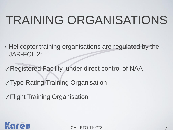## TRAINING ORGANISATIONS

- Helicopter training organisations are regulated by the JAR-FCL 2:
- ✓Registered Facility, under direct control of NAA
- ✓Type Rating Training Organisation
- ✓Flight Training Organisation

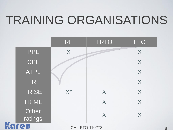### TRAINING ORGANISATIONS

|  |                             | <b>RF</b>       | <b>TRTO</b>    | <b>FTO</b>     |
|--|-----------------------------|-----------------|----------------|----------------|
|  | <b>PPL</b>                  | X               |                | X              |
|  | CPL                         |                 |                | X              |
|  | <b>ATPL</b>                 |                 |                | X              |
|  | IR.                         |                 |                | X              |
|  | TR SE                       | $X^*$           | X              | X              |
|  | TR ME                       |                 | X              | X              |
|  | Other<br><b>Refrequence</b> |                 | $\blacksquare$ | $\blacksquare$ |
|  |                             | CH - FTO 110273 |                |                |

**CH - FTO 110273**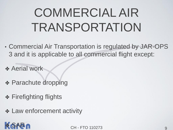# COMMERCIAL AIR TRANSPORTATION

- Commercial Air Transportation is regulated by JAR-OPS 3 and it is applicable to all commercial flight except:
- ✤ Aerial work
- ✤ Parachute dropping
- **❖ Firefighting flights**
- ✤ Law enforcement activity

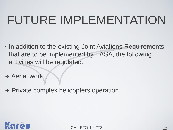# FUTURE IMPLEMENTATION

- In addition to the existing Joint Aviations Requirements that are to be implemented by EASA, the following activities will be regulated:
- ✤ Aerial work
- ✤ Private complex helicopters operation